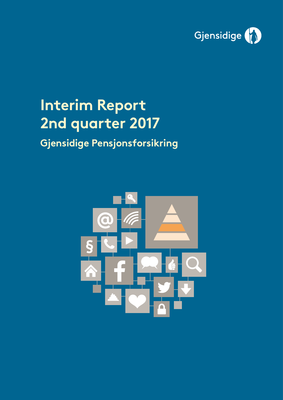

# **Interim Report 2nd quarter 2017**

## **Gjensidige Pensjonsforsikring**

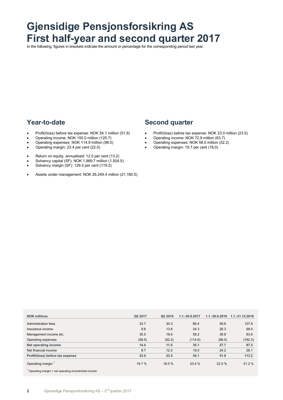## **Gjensidige Pensjonsforsikring AS First half-year and second quarter 2017**

In the following, figures in brackets indicate the amount or percentage for the corresponding period last year.

### **Year-to-date**

- Profit/(loss) before tax expense: NOK 54.1 million (51.9)
- Operating income: NOK 150.0 million (125.7)
- Operating expenses: NOK 114.9 million (98.0)
- Operating margin: 23.4 per cent (22.0)
- Return on equity, annualised: 12.0 per cent (13.2)
- Solvency capital (SF): NOK 1,969.7 million (1,504.5)
- Solvency margin (SF): 129.0 per cent (119.2)
- Assets under management: NOK 26,249.4 million (21,160.5)

### **Second quarter**

- Profit/(loss) before tax expense: NOK 23.0 million (23.5)
- Operating income: NOK 72.9 million (63.7)
- Operating expenses: NOK 58.5 million (52.2)
- Operating margin: 19.7 per cent (18.0)

| <b>NOK millions</b>              | Q2 2017 | Q2 2016 | 1.1.-30.6.2017 | $1.1 - 30.6.2016$ | 1.1.-31.12.2016 |
|----------------------------------|---------|---------|----------------|-------------------|-----------------|
| Administration fees              | 33.7    | 30.3    | 66.4           | 59.6              | 127.8           |
| Insurance income                 | 8.6     | 13.8    | 24.3           | 26.3              | 68.0            |
| Management income etc.           | 30.5    | 19.6    | 59.2           | 39.8              | 83.6            |
| Operating expenses               | (58.5)  | (52.2)  | (114.9)        | (98.0)            | (192.3)         |
| Net operating income             | 14.4    | 11.5    | 35.1           | 27.7              | 87.2            |
| Net financial income             | 8.7     | 12.0    | 19.0           | 24.2              | 26.1            |
| Profit/(loss) before tax expense | 23.0    | 23.5    | 54.1           | 51.9              | 113.2           |
| Operating margin <sup>1</sup>    | 19.7%   | 18.0%   | 23.4 %         | 22.0%             | 31.2%           |

 $1$  Operating margin = net operating income/total income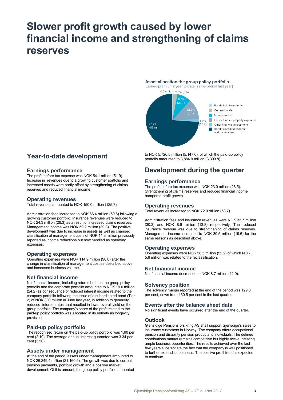## **Slower profit growth caused by lower financial income and strengthening of claims reserves**

### Asset allocation the group policy portfolio

Earned premiums year to date (same period last year)



### **Year-to-date development**

### **Earnings performance**

The profit before tax expense was NOK 54.1 million (51.9). Increase in revenues due to a growing customer portfolio and increased assets were partly offset by strengthening of claims reserves and reduced financial income.

### **Operating revenues**

Total revenues amounted to NOK 150.0 million (125.7).

Administration fees increased to NOK 66.4 million (59.6) following a growing customer portfolio. Insurance revenues were reduced to NOK 24.3 million (26.3) as a result of increased claims reserves. Management income was NOK 59.2 million (39.8). The positive development was due to increase in assets as well as changed classification of management costs of NOK 11.3 million previously reported as income reductions but now handled as operating expenses.

### **Operating expenses**

Operating expenses were NOK 114.9 million (98.0) after the change in classification of management cost as described above and increased business volume.

### **Net financial income**

Net financial income, including returns both on the group policy portfolio and the corporate portfolio amounted to NOK 19.0 million (24.2) as consequence of reduced interest income related to the company portfolio following the issue of a subordinated bond (Tier 2) of NOK 300 million in June last year, in addition to generally reduced interest rates that resulted in lower overall yield on the group portfolio. The company's share of the profit related to the paid-up policy portfolio was allocated in its entirety as longevity provision.

### **Paid-up policy portfolio**

The recognised return on the paid-up policy portfolio was 1.90 per cent (2.19). The average annual interest guarantee was 3.34 per cent (3.50).

### **Assets under management**

At the end of the period, assets under management amounted to NOK 26,249.4 million (21,160.5). The growth was due to current pension payments, portfolio growth and a positive market development. Of this amount, the group policy portfolio amounted

to NOK 5.726.8 million (5,147.0), of which the paid-up policy portfolio amounted to 3,884.0 million (3,399.8).

### **Development during the quarter**

### **Earnings performance**

The profit before tax expense was NOK 23.0 million (23.5). Strengthening of claims reserves and reduced financial income hampered profit growth.

### **Operating revenues**

Total revenues increased to NOK 72.9 million (63.7)**.**

Administration fees and insurance revenues were NOK 33.7 million (30.3) and NOK 8.6 million (13.8) respectively. The reduced insurance revenue was due to strengthening of claims reserves. Management income increased to NOK 30.5 million (19.6) for the same reasons as described above.

### **Operating expenses**

Operating expenses were NOK 58.5 million (52.2) of which NOK 5.6 million was related to the reclassification.

### **Net financial income**

Net financial income decreased to NOK 8.7 million (12.0).

### **Solvency position**

The solvency margin reported at the end of the period was 129.0 per cent, down from 130.5 per cent in the last quarter.

### **Events after the balance sheet date**

No significant events have occurred after the end of the quarter.

### **Outlook**

Gjensidige Pensjonsforsikring AS shall support Gjensdige's sales to insurance customers in Norway. The company offers occupational pension and disability pension products to individuals. The defined contributions market remains competitive but highly active, creating ample business opportunities. The results achieved over the last few years substantiate the fact that the company is well positioned to further expand its business. The positive profit trend is expected to continue.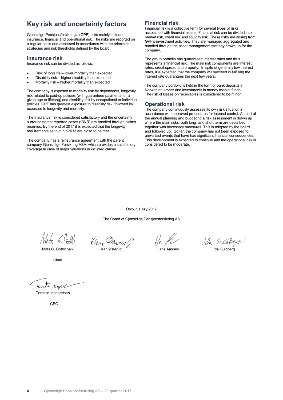### **Key risk and uncertainty factors**

Gjensidige Pensjonsforsikring's (GPF) risks mainly include insurance, financial and operational risk. The risks are reported on a regular basis and assessed in accordance with the principles, strategies and risk thresholds defined by the board.

### **Insurance risk**

Insurance risk can be divided as follows:

- Risk of long life lower mortality than expected
- Disability risk higher disability than expected
- Mortality risk higher mortality than expected

The company is exposed to mortality risk by dependents, longevity risk related to paid-up policies (with guaranteed payments for a given age or lifelong) and disability risk by occupational or individual policies. GPF has greatest exposure to disability risk, followed by exposure to longevity and mortality.

The Insurance risk is considered satisfactory and the uncertainty surrounding not reported cases (IBNR) are handled through claims reserves. By the end of 2017 it is expected that the longevity requirements set out in K2013 are close to be met.

The company has a reinsurance agreement with the parent company Gjensidige Forsikring ASA, which provides a satisfactory coverage in case of major variations in incurred claims.

### **Financial risk**

Financial risk is a collective term for several types of risks associated with financial assets. Financial risk can be divided into market risk, credit risk and liquidity risk. These risks are arising from GPF's investment activities. They are managed aggregated and handled through the asset management strategy drawn up for the company.

The group portfolio has guaranteed interest rates and thus represents a financial risk. The main risk components are interest rates, credit spread and property. In spite of generally low interest rates, it is expected that the company will succeed in fulfilling the interest rate guarantees the next few years.

The company portfolio is held in the form of bank deposits in Norwegian kroner and investments in money market funds. The risk of losses on receivables is considered to be minor.

### **Operational risk**

The company continuously assesses its own risk situation in accordance with approved procedures for internal control. As part of the annual planning and budgeting a risk assessment is drawn up where the main risks, both long- and short term are described together with necessary measures. This is adopted by the board and followed up. So far, the company has not been exposed to unwanted events that have had significant financial consequences. This development is expected to continue and the operational risk is considered to be moderate.

Oslo, 13 July 2017

The Board of Gjensidige Pensjonsforsikring AS

**Chair** 

Mats 6 Hall (Guy Othercul) Hamps also Jan Guldberg

Torstein Ingebretsen

CEO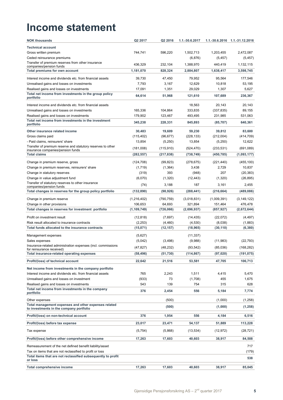## **Income statement**

| <b>NOK thousands</b>                                                                             | Q2 2017       | Q2 2016    | 1.1.-30.6.2017 |             | 1.1.-30.6.2016 1.1.-31.12.2016 |
|--------------------------------------------------------------------------------------------------|---------------|------------|----------------|-------------|--------------------------------|
| <b>Technical account</b>                                                                         |               |            |                |             |                                |
| Gross written premium                                                                            | 744,741       | 596,220    | 1,502,713      | 1,203,455   | 2,472,087                      |
| Ceded reinsurance premiums                                                                       |               |            | (6, 876)       | (5, 457)    | (5, 457)                       |
| Transfer of premium reserves from other insurance                                                | 436,329       | 232.104    | 1,388,970      | 440.419     |                                |
| companies/pension funds                                                                          |               |            |                |             | 1,132,115                      |
| Total premiums for own account                                                                   | 1,181,070     | 828,324    | 2,884,807      | 1,638,417   | 3,598,745                      |
| Interest income and dividends etc. from financial assets                                         | 39,730        | 47,450     | 79,952         | 95,564      | 177,546                        |
| Unrealised gains and losses on investments                                                       | 7,793         | 3,167      | 12,629         | 10,818      | 53,195                         |
| Realised gains and losses on investments                                                         | 17,091        | 1,351      | 29,029         | 1,307       | 5,627                          |
| Total net income from investments in the group policy<br>portfolio                               | 64,614        | 51,968     | 121,610        | 107,689     | 236,367                        |
| Interest income and dividends etc. from financial assets                                         |               |            | 18,563         | 20,143      | 20,143                         |
| Unrealised gains and losses on investments                                                       | 165,336       | 104,864    | 333,835        | (337, 835)  | 89,155                         |
| Realised gains and losses on investments                                                         | 179,902       | 123,467    | 493,495        | 231,985     | 531,063                        |
| Total net income from investments in the investment                                              | 345,238       | 228,331    | 845,893        | (85, 707)   | 640,361                        |
| portfolio                                                                                        |               |            |                |             |                                |
| Other insurance related income                                                                   | 30,483        | 19,609     | 59,230         | 39,812      | 83,600                         |
| Gross claims paid                                                                                | (115, 402)    | (96, 677)  | (228, 133)     | (212,004)   | (414, 709)                     |
| - Paid claims, reinsurers' share                                                                 | 13,854        | (5,250)    | 13,854         | (5,250)     | 12,622                         |
| Transfer of premium reserve and statutory reserves to other<br>insurance companies/pension funds | (181,008)     | (115, 910) | (524, 470)     | (233, 531)  | (691,089)                      |
| <b>Total claims</b>                                                                              | (282, 557)    | (217, 838) | (738, 749)     | (450, 785)  | (1,093,177)                    |
| Change in premium reserve, gross                                                                 | (124, 708)    | (99, 823)  | (278, 675)     | (221, 440)  | (455, 100)                     |
| Change in premium reserves, reinsurers' share                                                    | (1,719)       | (1, 364)   | 3,438          | 2,729       | 10,837                         |
| Change in statutory reserves                                                                     | (319)         | 393        | (948)          | 207         | (20, 383)                      |
| Change in value adjustment fund                                                                  | (6,070)       | (1,320)    | (12, 443)      | (1,320)     | (26, 895)                      |
| Transfer of statutory reserves to other insurance                                                | (74)          | 3,188      | 187            | 3,161       | 2,455                          |
| companies/pension funds                                                                          |               |            |                |             |                                |
| Total changes in reserves for the group policy portfolio                                         | (132, 890)    | (98, 926)  | (288, 441)     | (216, 664)  | (489, 086)                     |
| Change in premium reserve                                                                        | (1,216,402)   | (790, 759) | (3,018,831)    | (1,009,391) | (3, 149, 122)                  |
| Change in other provisions                                                                       | 106,653       | 64,693     | 321,894        | 151,464     | 476,478                        |
| Total changes in reserves for investment portfolio                                               | (1, 109, 749) | (726,066)  | (2,696,937)    | (857, 927)  | (2,672,644)                    |
| Profit on investment result                                                                      | (12, 818)     | (7,697)    | (14, 435)      | (22,072)    | (4, 497)                       |
| Risk result allocated to insurance contracts                                                     | (2, 253)      | (4, 460)   | (4, 530)       | (8,038)     | (1,883)                        |
| Total funds allocated to the insurance contracts                                                 | (15,071)      | (12, 157)  | (18, 965)      | (30, 110)   | (6, 380)                       |
| Management expenses                                                                              | (5,627)       |            | (11, 337)      |             |                                |
| Sales expenses                                                                                   | (5,042)       | (3,498)    | (9,988)        | (11, 983)   | (22, 793)                      |
| Insurance-related administration expenses (incl. commissions                                     |               |            |                |             |                                |
| for reinsurance received)                                                                        | (47, 827)     | (48, 232)  | (93, 542)      | (85,036)    | (168, 282)                     |
| Total insurance-related operating expenses                                                       | (58, 496)     | (51, 730)  | (114, 867)     | (97, 020)   | (191, 075)                     |
| Profit/(loss) of technical account                                                               | 22,642        | 21,516     | 53,581         | 47,705      | 106,713                        |
| Net income from investments in the company portfolio                                             |               |            |                |             |                                |
| Interest income and dividends etc. from financial assets                                         | 765           | 2,243      | 1,511          | 4,415       | 5,470                          |
| Unrealised gains and losses on investment                                                        | (933)         | 73         | (1,708)        | 455         | 1,675                          |
| Realised gains and losses on investments                                                         | 543           | 139        | 754            | 315         | 628                            |
| Total net income from investments in the company<br>portfolio                                    | 376           | 2,454      | 556            | 5,184       | 7,774                          |
| Other expenses                                                                                   |               | (500)      |                | (1,000)     | (1,258)                        |
| Total management expenses and other expenses related                                             |               |            |                |             |                                |
| to investments in the company portfolio                                                          |               | (500)      |                | (1,000)     | (1, 258)                       |
| Profit/(loss) on non-technical account                                                           | 376           | 1,954      | 556            | 4,184       | 6,516                          |
| Profit/(loss) before tax expense                                                                 | 23,017        | 23,471     | 54,137         | 51,889      | 113,228                        |
| Tax expense                                                                                      | (5,754)       | (5,868)    | (13, 534)      | (12, 972)   | (28, 721)                      |
| Profit/(loss) before other comprehensive income                                                  | 17,263        | 17,603     | 40,603         | 38,917      | 84,508                         |
| Remeasurement of the net defined benefit liability/asset                                         |               |            |                |             | 717                            |
| Tax on items that are not reclassified to profit or loss                                         |               |            |                |             | (179)                          |
| Total items that are not reclassified subsequently to profit                                     |               |            |                |             |                                |
| or loss                                                                                          |               |            |                |             | 538                            |
| Total comprehensive income                                                                       | 17,263        | 17,603     | 40,603         | 38,917      | 85,045                         |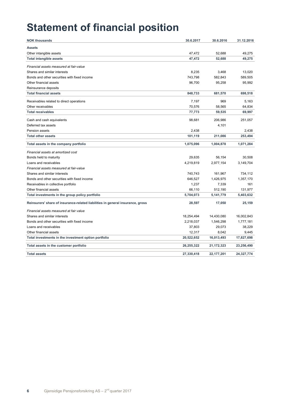## **Statement of financial position**

| <b>NOK thousands</b>                                                           | 30.6.2017  | 30.6.2016    | 31.12.2016 |
|--------------------------------------------------------------------------------|------------|--------------|------------|
| <b>Assets</b>                                                                  |            |              |            |
| Other intangible assets                                                        | 47,472     | 52,688       | 49,275     |
| <b>Total intangible assets</b>                                                 | 47,472     | 52,688       | 49,275     |
| Financial assets measured at fair-value                                        |            |              |            |
| Shares and similar interests                                                   | 8,235      | 3,468        | 13,020     |
| Bonds and other securities with fixed income                                   | 743,798    | 582,843      | 589,505    |
| Other financial assets                                                         | 96,700     | 95,258       | 95,992     |
| Reinsurance deposits                                                           |            |              |            |
| <b>Total financial assets</b>                                                  | 848,733    | 681,570      | 698,518    |
|                                                                                |            |              |            |
| Receivables related to direct operations                                       | 7,197      | 969          | 5,163      |
| Other receivables                                                              | 70,576     | 58,565       | 64,834     |
| <b>Total receivables</b>                                                       | 77,773     | 59,535       | 69,997     |
| Cash and cash equivalents                                                      | 98,681     | 206,986      | 251,057    |
| Deferred tax assets                                                            |            | 4,101        |            |
| <b>Pension assets</b>                                                          | 2,438      |              | 2,438      |
| <b>Total other assets</b>                                                      | 101,119    | 211,086      | 253,494    |
| Total assets in the company portfolio                                          | 1,075,096  | 1,004,878    | 1,071,284  |
| Financial assets at amortized cost                                             |            |              |            |
| Bonds held to maturity                                                         | 29,635     | 56,154       | 30,508     |
| Loans and receivables                                                          | 4,219,819  | 2,977,154    | 3,149,704  |
| Financial assets measured at fair-value                                        |            |              |            |
| Shares and similar interests                                                   | 740,743    | 161,967      | 734,112    |
| Bonds and other securities with fixed income                                   | 646,527    | 1,426,975    | 1,357,170  |
| Receivables in collective portfolio                                            | 1,237      | 7,339        | 161        |
| Other financial assets                                                         | 66,110     | 512,190      | 131,977    |
| Total investments in the group policy portfolio                                | 5,704,073  | 5,141,779    | 5,403,632  |
| Reinsurers' share of insurance-related liabilities in general insurance, gross | 28,597     | 17,050       | 25,159     |
| Financial assets measured at fair value                                        |            |              |            |
| Shares and similar interests                                                   | 18,254,494 | 14,430,080   | 16,002,843 |
| Bonds and other securities with fixed income                                   | 2,218,037  | 1,546,298    | 1,777,181  |
| Loans and receivables                                                          | 37,803     | 29,073       | 38,229     |
| Other financial assets                                                         | 12,317     | 8.042        | 9,445      |
| Total investments in the investment option portfolio                           | 20,522,652 | 16,013,493   | 17,827,698 |
| Total assets in the customer portfolio                                         | 26,255,322 | 21, 172, 323 | 23,256,490 |
| <b>Total assets</b>                                                            | 27,330,418 | 22, 177, 201 | 24,327,774 |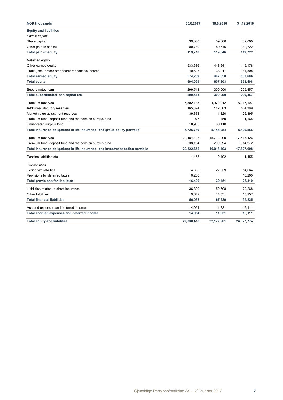| <b>NOK thousands</b>                                                            | 30.6.2017  | 30.6.2016    | 31.12.2016 |
|---------------------------------------------------------------------------------|------------|--------------|------------|
| <b>Equity and liabilities</b>                                                   |            |              |            |
| Paid in capital                                                                 |            |              |            |
| Share capital                                                                   | 39,000     | 39,000       | 39,000     |
| Other paid-in capital                                                           | 80.740     | 80,646       | 80,722     |
| <b>Total paid-in equity</b>                                                     | 119,740    | 119,646      | 119,722    |
| Retained equity                                                                 |            |              |            |
| Other earned equity                                                             | 533.686    | 448,641      | 449,178    |
| Profit/(loss) before other comprenhensive income                                | 40.603     | 38.917       | 84,508     |
| <b>Total earned equity</b>                                                      | 574,289    | 487,558      | 533,686    |
| <b>Total equity</b>                                                             | 694,029    | 607,203      | 653,408    |
| Subordinated Ioan                                                               | 299,513    | 300,000      | 299,457    |
| Total subordinated loan capital etc.                                            | 299,513    | 300,000      | 299,457    |
| Premium reserves                                                                | 5,502,145  | 4,972,212    | 5,217,107  |
| Additional statutory reserves                                                   | 165,324    | 142,883      | 164,389    |
| Market value adjustment reserves                                                | 39,338     | 1,320        | 26,895     |
| Premium fund, deposit fund and the pension surplus fund                         | 977        | 459          | 1,165      |
| Unallocated surplus fond                                                        | 18,965     | 30,110       |            |
| Total insurance obligations in life insurance - the group policy portfolio      | 5,726,749  | 5,146,984    | 5,409,556  |
| Premium reserves                                                                | 20,184,498 | 15,714,099   | 17,513,426 |
| Premium fund, deposit fund and the pension surplus fund                         | 338,154    | 299,394      | 314,272    |
| Total insurance obligations in life insurance - the investment option portfolio | 20,522,652 | 16,013,493   | 17,827,698 |
| Pension liabilities etc.                                                        | 1,455      | 2,492        | 1,455      |
| <b>Tax liabilities</b>                                                          |            |              |            |
| Period tax liabilities                                                          | 4,835      | 27,959       | 14,664     |
| Provisions for deferred taxes                                                   | 10,200     |              | 10,200     |
| <b>Total provisions for liabilities</b>                                         | 16,490     | 30,451       | 26,319     |
| Liabilities related to direct insurance                                         | 36,390     | 52,708       | 79,268     |
| <b>Other liabilities</b>                                                        | 19,642     | 14,531       | 15,957     |
| <b>Total financial liabilities</b>                                              | 56,032     | 67,239       | 95,225     |
| Accrued expenses and deferred income                                            | 14,954     | 11,831       | 16,111     |
| Total accrued expenses and deferred income                                      | 14,954     | 11,831       | 16,111     |
| <b>Total equity and liabilities</b>                                             | 27.330.418 | 22, 177, 201 | 24,327,774 |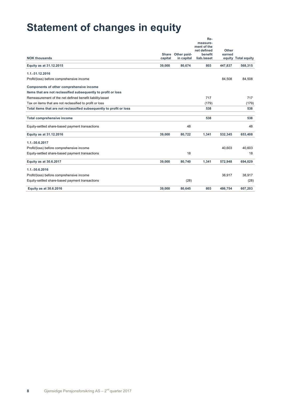## **Statement of changes in equity**

|                                                                      | Share   | Other paid- | Re-<br>measure-<br>ment of the<br>net defined<br>benefit | Other<br>earned |                     |
|----------------------------------------------------------------------|---------|-------------|----------------------------------------------------------|-----------------|---------------------|
| <b>NOK thousands</b>                                                 | capital | in capital  | liab./asset                                              |                 | equity Total equity |
| Equity as at 31.12.2015                                              | 39,000  | 80,674      | 803                                                      | 447,837         | 568,315             |
| 1.1.-31.12.2016                                                      |         |             |                                                          |                 |                     |
| Profit/(loss) before comprehensive income                            |         |             |                                                          | 84,508          | 84,508              |
| Components of other comprehensive income                             |         |             |                                                          |                 |                     |
| Items that are not reclassified subsequently to profit or loss       |         |             |                                                          |                 |                     |
| Remeasurement of the net defined benefit liability/asset             |         |             | 717                                                      |                 | 717                 |
| Tax on items that are not reclassified to profit or loss             |         |             | (179)                                                    |                 | (179)               |
| Total items that are not reclassified subsequently to profit or loss |         |             | 538                                                      |                 | 538                 |
| <b>Total comprehensive income</b>                                    |         |             | 538                                                      |                 | 538                 |
| Equity-settled share-based payment transactions                      |         | 48          |                                                          |                 | 48                  |
| Equity as at 31.12.2016                                              | 39,000  | 80,722      | 1,341                                                    | 532,345         | 653,408             |
| 1.1.-30.6.2017                                                       |         |             |                                                          |                 |                     |
| Profit/(loss) before comprehensive income                            |         |             |                                                          | 40.603          | 40.603              |
| Equity-settled share-based payment transactions                      |         | 18          |                                                          |                 | 18                  |
| Equity as at 30.6.2017                                               | 39,000  | 80,740      | 1,341                                                    | 572,948         | 694,029             |
| 1.1.-30.6.2016                                                       |         |             |                                                          |                 |                     |
| Profit/(loss) before comprehensive income                            |         |             |                                                          | 38,917          | 38.917              |
| Equity-settled share-based payment transactions                      |         | (28)        |                                                          |                 | (28)                |
| Equity as at 30.6.2016                                               | 39.000  | 80.645      | 803                                                      | 486.754         | 607,203             |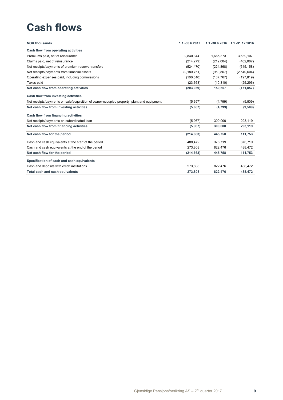## **Cash flows**

| <b>NOK thousands</b>                                                                      | 1.1.-30.6.2017 | $1.1 - 30.6.2016$ | 1.1.-31.12.2016 |
|-------------------------------------------------------------------------------------------|----------------|-------------------|-----------------|
| Cash flow from operating activities                                                       |                |                   |                 |
| Premiums paid, net of reinsurance                                                         | 2.840.344      | 1.665.373         | 3,639,107       |
| Claims paid, net of reinsurance                                                           | (214, 279)     | (212,004)         | (402, 087)      |
| Net receipts/payments of premium reserve transfers                                        | (524, 470)     | (224, 868)        | (645, 158)      |
| Net receipts/payments from financial assets                                               | (2, 180, 761)  | (959, 867)        | (2,540,604)     |
| Operating expenses paid, including commissions                                            | (100, 510)     | (107, 767)        | (197, 819)      |
| Taxes paid                                                                                | (23, 363)      | (10, 310)         | (25, 296)       |
| Net cash flow from operating activities                                                   | (203, 039)     | 150,557           | (171, 857)      |
| Cash flow from investing activities                                                       |                |                   |                 |
| Net receipts/payments on sale/acquisition of owner-occupied property, plant and equipment | (5,657)        | (4,799)           | (9,509)         |
| Net cash flow from investing activities                                                   | (5,657)        | (4,799)           | (9,509)         |
| Cash flow from financing activities                                                       |                |                   |                 |
| Net receipts/payments on subordinated loan                                                | (5,967)        | 300.000           | 293,119         |
| Net cash flow from financing activities                                                   | (5,967)        | 300,000           | 293,119         |
| Net cash flow for the period                                                              | (214, 663)     | 445,758           | 111,753         |
| Cash and cash equivalents at the start of the period                                      | 488,472        | 376,719           | 376,719         |
| Cash and cash equivalents at the end of the period                                        | 273.808        | 822.476           | 488.472         |
| Net cash flow for the period                                                              | (214, 663)     | 445,758           | 111,753         |
| Specification of cash and cash equivalents                                                |                |                   |                 |
| Cash and deposits with credit institutions                                                | 273.808        | 822.476           | 488,472         |
| Total cash and cash equivalents                                                           | 273,808        | 822,476           | 488,472         |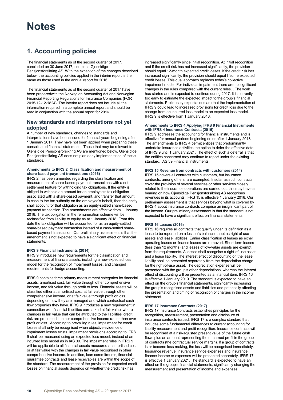### **1. Accounting policies**

The financial statements as of the second quarter of 2017, concluded on 30 June 2017, comprise Gjensidige Pensjonsforsikring AS. With the exception of the changes described below, the accounting policies applied in the interim report is the same as those used in the annual report for 2016.

The financial statements as of the second quarter of 2017 have been preparedwith the Norwegian Accounting Act and Norwegian Financial Reporting Regulations for Insurance Companies (FOR 2015-12-12-1824). The interim report does not include all the information required in a complete annual report and should be read in conjunction with the annual report for 2016.

### **New standards and interpretations not yet adopted**

A number of new standards, changes to standards and interpretations have been issued for financial years beginning after 1 January 2017. They have not been applied when preparing these consolidated financial statements. Those that may be relevant to Gjensidige Pensjonsforsikring AS are mentioned below. Gjensidige Pensjonsforsikring AS does not plan early implementation of these standards.

### **Amendments to IFRS 2 Classification and measurement of share-based payment transactions (2016)**

IFRS 2 has been amended regarding the classification and measurement of share-based payment transactions with a net settlement feature for withholding tax obligations. If the entity is obliged to withhold an amount for an employee's tax obligation associated with a share-based payment, and transfer that amount in cash to the tax authority on the employee's behalf, then the entity shall account for that obligation as an equity-settled share-based payment transaction. The amendments are effective from 1 January 2018. The tax obligation in the remuneration scheme will be reclassified from liability to equity as at 1 January 2018. From this date the tax obligation will be accounted for as an equity-settled share-based payment transaction instead of a cash-settled sharebased payment transaction. Our preliminary assessment is that the amendment is not expected to have a significant effect on financial statements.

#### **IFRS 9 Financial instruments (2014)**

IFRS 9 introduces new requirements for the classification and measurement of financial assets, including a new expected loss model for the recognition of impairment losses, and changed requirements for hedge accounting.

IFRS 9 contains three primary measurement categories for financial assets: amortised cost, fair value through other comprehensive income, and fair value through profit or loss. Financial assets will be classified either at amortised cost, at fair value through other comprehensive income, or at fair value through profit or loss, depending on how they are managed and which contractual cash flow properties they have. IFRS 9 introduces a new requirement in connection with financial liabilities earmarked at fair value: where changes in fair value that can be attributed to the liabilities' credit risk are presented in other comprehensive income rather than over profit or loss. According to prevailing rules, impairment for credit losses shall only be recognised when objective evidence of impairment losses exists. Impairment provisions according to IFRS 9 shall be measured using an expected loss model, instead of an incurred loss model as in IAS 39. The impairment rules in IFRS 9 will be applicable to all financial assets measured at amortised cost or at fair value with the changes in fair value recognised in other comprehensive income. In addition, loan commitments, financial guarantee contracts and lease receivables are within the scope of the standard. The measurement of the provision for expected credit losses on financial assets depends on whether the credit risk has

increased significantly since initial recognition. At initial recognition and if the credit risk has not increased significantly, the provision should equal 12-month expected credit losses. If the credit risk has increased significantly, the provision should equal lifetime expected credit losses. This dual approach replaces today's collective impairment model. For individual impairment there are no significant changes in the rules compared with the current rules. . The work has started and is expected to continue during 2017. It is currently too early to estimate the expected impact to the group's financial statements. Preliminary expectations are that the implementation of IFRS 9 could lead to increased provisions for credit loss due to the change from an incurred loss model to an expected loss model. IFRS 9 is effective from 1 January 2018.

#### **Amendments to IFRS 4 Applying IFRS 9 Financial Instruments with IFRS 4 Insurance Contracts (2016)**

IFRS 9 addresses the accounting for financial instruments and is effective for annual periods beginning on or after 1 January 2018. The amendments to IFRS 4 permit entities that predominantly undertake insurance activities the option to defer the effective date of IFRS 9 until 1 January 2021. The effect of such a deferral is that the entities concerned may continue to report under the existing standard, IAS 39 Financial Instruments.

### **IFRS 15 Revenue from contracts with customers (2014)**

IFRS 15 covers all contracts with customers, but insurance contracts, among others, are exempted. Insofar as such contracts cover the provision of several services or other services closely related to the insurance operations are carried out, this may have a bearing on how Gjensidige Pensjonsforsikring AS recognises revenues in its accounts. IFRS 15 is effective 1 January 2018. Our preliminary assessment is that services beyond what is covered by IFRS 4 about insurance contracts comprise an insignificant part of the income. Our preliminary assessment is that the standard is not expected to have a significant effect on financial statements.

### **IFRS 16 Leases (2016)**

IFRS 16 requires all contracts that qualify under its definition as a lease to be reported on a lessee`s balance sheet as right of use assets and lease liabilities. Earlier classification of leases as either operating leases or finance leases are removed. Short-term leases (less than 12 months) and leases of low-value assets are exempt from the requirements. A lessee shall recognise a right-of-use asset and a lease liability. The interest effect of discounting on the lease liability shall be presented separately from the depreciation charge for the right-of-use asset. The depreciation expense will be presented with the group's other depreciations, whereas the interest effect of discounting will be presented as a financial item. IFRS 16 is effective 1 January 2019. The standard is expected to have an effect on the group's financial statements, significantly increasing the group's recognised assets and liabilities and potentially affecting the presentation and timing of recognition of charges in the income statement.

#### **IFRS 17 Insurance Contracts (2017)**

IFRS 17 Insurance Contracts establishes principles for the recognition, measurement, presentation and disclosure of insurance contracts issued. IFRS 17 is a complex standard that includes some fundamental differences to current accounting for liability measurement and profit recognition. Insurance contracts will be recognised at a risk-adjusted present value of the future cash flows plus an amount representing the unearned profit in the group of contracts (the contractual service margin). If a group of contracts is or become loss-making, the loss will be recognised immediately. Insurance revenue, insurance service expenses and insurance finance income or expenses will be presented separately. IFRS 17 is effective 1 January 2021. The standard is expected to have an effect on the group's financial statements, significantly changing the measurement and presentation of income and expenses.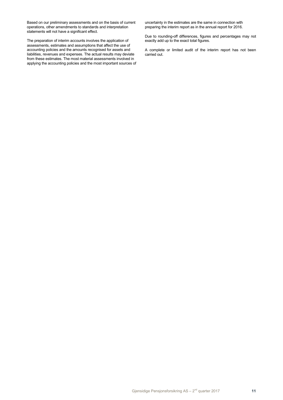Based on our preliminary assessments and on the basis of current operations, other amendments to standards and interpretation statements will not have a significant effect.

The preparation of interim accounts involves the application of assessments, estimates and assumptions that affect the use of accounting policies and the amounts recognised for assets and liabilities, revenues and expenses. The actual results may deviate from these estimates. The most material assessments involved in applying the accounting policies and the most important sources of uncertainty in the estimates are the same in connection with preparing the interim report as in the annual report for 2016.

Due to rounding-off differences, figures and percentages may not exactly add up to the exact total figures.

A complete or limited audit of the interim report has not been carried out.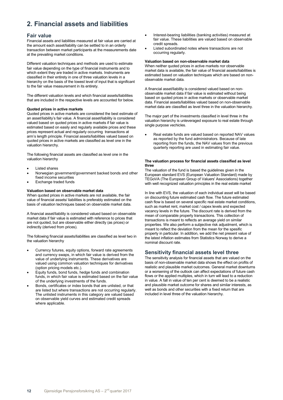### **2. Financial assets and liabilities**

### **Fair value**

Financial assets and liabilities measured at fair value are carried at the amount each asset/liability can be settled to in an orderly transaction between market participants at the measurements date at the prevailing market conditions.

Different valuation techniques and methods are used to estimate fair value depending on the type of financial instruments and to which extent they are traded in active markets. Instruments are classified in their entirety in one of three valuation levels in a hierarchy on the basis of the lowest level of input that is significant to the fair value measurement in its entirety.

The different valuation levels and which financial assets/liabilities that are included in the respective levels are accounted for below.

#### **Quoted prices in active markets**

Quoted prices in active markets are considered the best estimate of an asset/liability's fair value. A financial asset/liability is considered valued based on quoted prices in active markets if fair value is estimated based on easily and regularly available prices and these prices represent actual and regularly occurring transactions at arm's length principle. Financial assets/liabilities valued based on quoted prices in active markets are classified as level one in the valuation hierarchy.

The following financial assets are classified as level one in the valuation hierarchy

- Listed shares
- Norwegian government/government backed bonds and other fixed income securities
- **Exchange traded funds**

### **Valuation based on observable market data**

When quoted prices in active markets are not available, the fair value of financial assets/ liabilities is preferably estimated on the basis of valuation techniques based on observable market data.

A financial asset/liability is considered valued based on observable market data if fair value is estimated with reference to prices that are not quoted, but are observable either directly (as prices) or indirectly (derived from prices).

The following financial assets/liabilities are classified as level two in the valuation hierarchy

- Currency futures, equity options, forward rate agreements and currency swaps, in which fair value is derived from the value of underlying instruments. These derivatives are valued using common valuation techniques for derivatives (option pricing models etc.).
- Equity funds, bond funds, hedge funds and combination funds, in which fair value is estimated based on the fair value of the underlying investments of the funds.
- Bonds, certificates or index bonds that are unlisted, or that are listed but where transactions are not occurring regularly. The unlisted instruments in this category are valued based on observable yield curves and estimated credit spreads where applicable.
- Interest-bearing liabilities (banking activities) measured at fair value. These liabilities are valued based on observable credit spreads.
- Listed subordinated notes where transactions are not occurring regularly.

### **Valuation based on non-observable market data**

When neither quoted prices in active markets nor observable market data is available, the fair value of financial assets/liabilities is estimated based on valuation techniques which are based on nonobservable market data.

A financial asset/liability is considered valued based on nonobservable market data if fair value is estimated without being based on quoted prices in active markets or observable market data. Financial assets/liabilities valued based on non-observable market data are classified as level three in the valuation hierarchy.

The major part of the investments classified in level three in the valuation hierarchy is unleveraged exposure to real estate through single purpose vechicles.

Real estate funds are valued based on reported NAV values as reported by the fund administrators. Because of late reporting from the funds, the NAV values from the previous quarterly reporting are used in estimating fair value.

#### **The valuation process for financial assets classified as level three**

The valuation of the fund is based the guidelines given in the European standard EVS (European Valuation Standard) made by TEGoVA (The European Group of Valuers' Associations) together with well recognized valuation principles in the real estate market

In line with EVS, the valuation of each individual asset will be based on discounting future estimated cash flow. The future estimated cash flow is based on several specific real estate market conditions, such as market rent, market cost / capex levels and expected vacancy levels in the future. The discount rate is derived from the mean of comparable property transactions. This collection of transactions is meant to reflects an average yield on similar properties. We also perform a subjective risk adjustment, which is meant to reflect the deviation from the mean for the spesific property in particular. In addition, we add the net present value of the latest inflation estimates from Statistics Norway to derive a nominal discount rate.

### **Sensitivity financial assets level three**

The sensitivity analysis for financial assets that are valued on the basis of non-observable market data shows the effect on profits of realistic and plausible market outcomes. General market downturns or a worsening of the outlook can affect expectations of future cash flows or the applied multiples, which in turn will lead to a reduction in value. A fall in value of ten per cent is deemed to be a realistic and plausible market outcome for shares and similar interests, as well as bonds and other securities with a fixed return that are included in level three of the valuation hierarchy.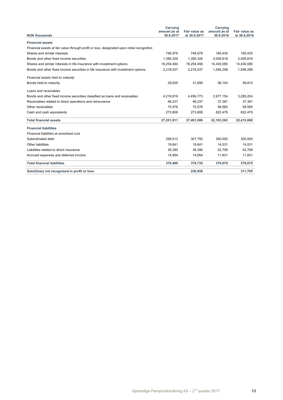|                                                                                            | Carrying                  |                               | Carrying                  |                               |
|--------------------------------------------------------------------------------------------|---------------------------|-------------------------------|---------------------------|-------------------------------|
| <b>NOK thousands</b>                                                                       | amount as at<br>30.6.2017 | Fair value as<br>at 30.6.2017 | amount as at<br>30.6.2016 | Fair value as<br>at 30.6.2016 |
|                                                                                            |                           |                               |                           |                               |
| <b>Financial assets</b>                                                                    |                           |                               |                           |                               |
| Financial assets at fair value through profit or loss, designated upon initial recognition |                           |                               |                           |                               |
| Shares and similar interests                                                               | 748,978                   | 748,978                       | 165,435                   | 165,435                       |
| Bonds and other fixed income securities                                                    | 1.390.326                 | 1.390.326                     | 2.009.818                 | 2,009,818                     |
| Shares and similar interests in life insurance with investment options                     | 18,254,494                | 18,254,494                    | 14,430,080                | 14,430,080                    |
| Bonds and other fixed income securities in life insurance with investment options          | 2,218,037                 | 2,218,037                     | 1,546,298                 | 1,546,298                     |
| Financial assets held to maturity                                                          |                           |                               |                           |                               |
| Bonds held to maturity                                                                     | 29,635                    | 31,856                        | 56,154                    | 59,810                        |
| Loans and receivables                                                                      |                           |                               |                           |                               |
| Bonds and other fixed income securities classified as loans and receivables                | 4,219,819                 | 4,456,773                     | 2,977,154                 | 3,285,204                     |
| Receivables related to direct operations and reinsurance                                   | 46,237                    | 46,237                        | 37,381                    | 37,381                        |
| Other receivables                                                                          | 70,576                    | 70,576                        | 58,565                    | 58,565                        |
| Cash and cash equivalents                                                                  | 273,808                   | 273,808                       | 822,476                   | 822,476                       |
| <b>Total financial assets</b>                                                              | 27,251,911                | 27,491,086                    | 22,103,362                | 22,415,068                    |
| <b>Financial liabilities</b>                                                               |                           |                               |                           |                               |
| Financial liabilities at amortised cost                                                    |                           |                               |                           |                               |
| Subordinated debt                                                                          | 299,513                   | 307,750                       | 300.000                   | 300,000                       |
| Other liabilities                                                                          | 19.641                    | 19.641                        | 14,531                    | 14,531                        |
| Liabilities related to direct insurance                                                    | 36,390                    | 36.390                        | 52,708                    | 52,708                        |
| Accrued expenses and deferred income                                                       | 14,954                    | 14,954                        | 11,831                    | 11,831                        |
| <b>Total financial liabilities</b>                                                         | 370,498                   | 378,735                       | 379,070                   | 379,070                       |
| Gain/(loss) not recognised in profit or loss                                               |                           | 230,938                       |                           | 311,705                       |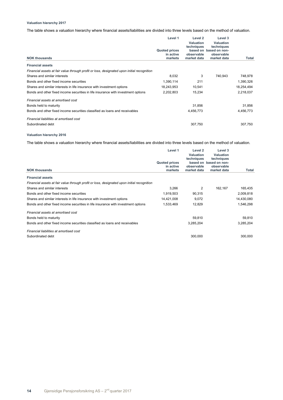### **Valuation hierarchy 2017**

The table shows a valuation hierarchy where financial assets/liabilities are divided into three levels based on the method of valuation.

|                                                                                            | Level 1                                      | Level 2<br>Valuation                    | Level 3<br><b>Valuation</b>                                       |            |
|--------------------------------------------------------------------------------------------|----------------------------------------------|-----------------------------------------|-------------------------------------------------------------------|------------|
| <b>NOK thousands</b>                                                                       | <b>Quoted prices</b><br>in active<br>markets | techniques<br>observable<br>market data | techniques<br>based on based on non-<br>observable<br>market data | Total      |
| <b>Financial assets</b>                                                                    |                                              |                                         |                                                                   |            |
| Financial assets at fair value through profit or loss, designated upon initial recognition |                                              |                                         |                                                                   |            |
| Shares and similar interests                                                               | 8,032                                        | 3                                       | 740,943                                                           | 748,978    |
| Bonds and other fixed income securities                                                    | 1,390,114                                    | 211                                     |                                                                   | 1,390,326  |
| Shares and similar interests in life insurance with investment options                     | 18,243,953                                   | 10,541                                  |                                                                   | 18,254,494 |
| Bonds and other fixed income securities in life insurance with investment options          | 2,202,803                                    | 15,234                                  |                                                                   | 2,218,037  |
| Financial assets at amortised cost                                                         |                                              |                                         |                                                                   |            |
| Bonds held to maturity                                                                     |                                              | 31,856                                  |                                                                   | 31,856     |
| Bonds and other fixed income securities classified as loans and receivables                |                                              | 4,456,773                               |                                                                   | 4,456,773  |
| Financial liabilities at amortised cost                                                    |                                              |                                         |                                                                   |            |
| Subordinated debt                                                                          |                                              | 307,750                                 |                                                                   | 307.750    |

#### **Valuation hierarchy 2016**

The table shows a valuation hierarchy where financial assets/liabilities are divided into three levels based on the method of valuation.

| <b>NOK thousands</b>                                                                       | Level 1<br><b>Quoted prices</b><br>in active<br>markets | Level <sub>2</sub><br>Valuation<br>techniques<br>observable<br>market data | Level 3<br>Valuation<br>techniques<br>based on based on non-<br>observable<br>market data | <b>Total</b> |
|--------------------------------------------------------------------------------------------|---------------------------------------------------------|----------------------------------------------------------------------------|-------------------------------------------------------------------------------------------|--------------|
| <b>Financial assets</b>                                                                    |                                                         |                                                                            |                                                                                           |              |
| Financial assets at fair value through profit or loss, designated upon initial recognition |                                                         |                                                                            |                                                                                           |              |
| Shares and similar interests                                                               | 3,266                                                   | 2                                                                          | 162,167                                                                                   | 165,435      |
| Bonds and other fixed income securities                                                    | 1,919,503                                               | 90,315                                                                     |                                                                                           | 2,009,818    |
| Shares and similar interests in life insurance with investment options                     | 14,421,008                                              | 9,072                                                                      |                                                                                           | 14,430,080   |
| Bonds and other fixed income securities in life insurance with investment options          | 1,533,469                                               | 12,829                                                                     |                                                                                           | 1,546,298    |
| Financial assets at amortised cost                                                         |                                                         |                                                                            |                                                                                           |              |
| Bonds held to maturity                                                                     |                                                         | 59,810                                                                     |                                                                                           | 59,810       |
| Bonds and other fixed income securities classified as loans and receivables                |                                                         | 3,285,204                                                                  |                                                                                           | 3,285,204    |
| Financial liabilities at amortised cost                                                    |                                                         |                                                                            |                                                                                           |              |
| Subordinated debt                                                                          |                                                         | 300,000                                                                    |                                                                                           | 300,000      |
|                                                                                            |                                                         |                                                                            |                                                                                           |              |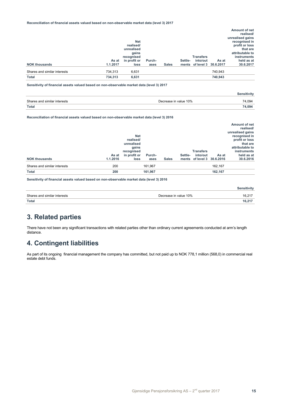#### **Reconciliation of financial assets valued based on non-observable market data (level 3) 2017**

|                              |          |              |        |              |         |                            |         | Amount of net    |
|------------------------------|----------|--------------|--------|--------------|---------|----------------------------|---------|------------------|
|                              |          |              |        |              |         |                            |         | realised/        |
|                              |          |              |        |              |         |                            |         | unrealised gains |
|                              |          | <b>Net</b>   |        |              |         |                            |         | recognised in    |
|                              |          | realised/    |        |              |         |                            |         | profit or loss   |
|                              |          | unrealised   |        |              |         |                            |         | that are         |
|                              |          | gains        |        |              |         |                            |         | attributable to  |
|                              |          | recognised   |        |              |         | <b>Transfers</b>           |         | instruments      |
|                              | As at    | in profit or | Purch- |              | Settle- | into/out                   | As at   | held as at       |
| <b>NOK thousands</b>         | 1.1.2017 | loss         | ases   | <b>Sales</b> |         | ments of level 3 30.6.2017 |         | 30.6.2017        |
| Shares and similar interests | 734,313  | 6,631        |        |              |         |                            | 740,943 |                  |
| <b>Total</b>                 | 734.313  | 6,631        |        |              |         |                            | 740.943 |                  |

**Sensitivity of financial assets valued based on non-observable market data (level 3) 2017**

|                              |                       | sensitivitv |
|------------------------------|-----------------------|-------------|
|                              |                       |             |
| Shares and similar interests | Decrease in value 10% | ,094<br>΄4  |
| Total                        |                       | 74,094      |

### **Reconciliation of financial assets valued based on non-observable market data (level 3) 2016**

| <b>NOK thousands</b>         | As at<br>1.1.2016 | <b>Net</b><br>realised/<br>unrealised<br>gains<br>recognised<br>in profit or<br>loss | Purch-<br>ases | <b>Sales</b> | Settle- | <b>Transfers</b><br>into/out<br>ments of level 3 30.6.2016 | As at   | Amount of net<br>realised/<br>unrealised gains<br>recognised in<br>profit or loss<br>that are<br>attributable to<br>instruments<br>held as at<br>30.6.2016 |
|------------------------------|-------------------|--------------------------------------------------------------------------------------|----------------|--------------|---------|------------------------------------------------------------|---------|------------------------------------------------------------------------------------------------------------------------------------------------------------|
| Shares and similar interests | 200               |                                                                                      | 161,967        |              |         |                                                            | 162,167 |                                                                                                                                                            |
| <b>Total</b>                 | 200               |                                                                                      | 161,967        |              |         |                                                            | 162,167 |                                                                                                                                                            |

**Sensitivity of financial assets valued based on non-observable market data (level 3) 2016**

|                              |                       | Sensitivity |
|------------------------------|-----------------------|-------------|
| Shares and similar interests | Decrease in value 10% | 16,217      |
| <b>Total</b>                 |                       | 16,217      |

### **3. Related parties**

There have not been any significant transactions with related parties other than ordinary current agreements conducted at arm's length distance.

### **4. Contingent liabilities**

As part of its ongoing financial management the company has committed, but not paid up to NOK 778,1 million (568,0) in commercial real estate debt funds.

**Sensitivity**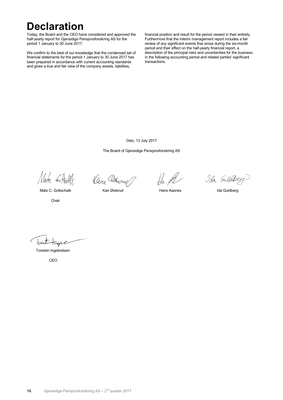## **Declaration**

Today, the Board and the CEO have considered and approved the half-yearly report for Gjensidige Pensjonsforsikring AS for the period 1 January to 30 June 2017.

We confirm to the best of our knowledge that the condensed set of financial statements for the period 1 January to 30 June 2017 has been prepared in accordance with current accounting standards and gives a true and fair view of the company assets, liabilities,

financial position and result for the period viewed in their entirety. Furthermore that the interim management report includes a fair review of any significant events that arose during the six-month period and their effect on the half-yearly financial report, a description of the principal risks and uncertainties for the business in the following accounting period and related parties' significant transactions.

Oslo, 13 July 2017

The Board of Gjensidige Pensjonsforsikring AS

Mata 6Hall

Ceri Chery

Mats C. Gottschalk Kari Østerud Hans Aasnes Ida Guldberg

Ida Guldbey

Chair

lcw

Torstein Ingebretsen

CEO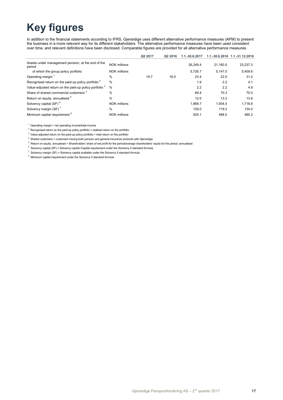## **Key figures**

In addition to the financial statements according to IFRS, Gjensidige uses different alternative performance measures (APM) to present the business in a more relevant way for its different stakeholders. The alternative performance measures have been used consistent over time, and relevant definitions have been disclosed. Comparable figures are provided for all alternative performance measures.

|                                                                    |                     | Q <sub>2</sub> 2017 | Q <sub>2</sub> 2016 | 1.1.-30.6.2017 |          | 1.1.-30.6.2016 1.1.-31.12.2016 |
|--------------------------------------------------------------------|---------------------|---------------------|---------------------|----------------|----------|--------------------------------|
| Assets under management pension, at the end of the<br>period       | NOK millions        |                     |                     | 26.249.4       | 21.160.5 | 23,237.3                       |
| of which the group policy portfolio                                | <b>NOK millions</b> |                     |                     | 5,726.7        | 5.147.0  | 5,409.6                        |
| Operating margin                                                   | $\frac{0}{0}$       | 19.7                | 18.0                | 23.4           | 22.0     | 31.2                           |
| Recognised return on the paid-up policy portfolio <sup>2</sup>     | $\frac{0}{0}$       |                     |                     | 1.9            | 2.2      | 4.1                            |
| Value-adjusted return on the paid-up policy portfolio <sup>3</sup> | $\%$                |                     |                     | 2.2            | 2.2      | 4.9                            |
| Share of shared commercial customers <sup>4</sup>                  | $\%$                |                     |                     | 69.4           | 70.3     | 70.0                           |
| Return on equity, annualised <sup>5</sup>                          | $\%$                |                     |                     | 12.0           | 13.2     | 13.8                           |
| Solvency capital (SF) <sup>6</sup>                                 | NOK millions        |                     |                     | 1.969.7        | 1.504.5  | 1.718.8                        |
| Solvency margin (SF) <sup>7</sup>                                  | %                   |                     |                     | 129.0          | 119.2    | 134.0                          |
| Minimum capital requirement <sup>8</sup>                           | <b>NOK millions</b> |                     |                     | 525.1          | 488.5    | 485.2                          |
|                                                                    |                     |                     |                     |                |          |                                |

 $1$  Operating margin = net operating income/total income

<sup>2</sup> Recognised return on the paid-up policy portfolio = realised return on the portfolio

<sup>3</sup> Value-adjusted return on the paid-up policy portfolio = total return on the portfolio

4 Shared customers = customers having both pension and general insurance products with Gjensidige

5 Return on equity, annualised = Shareholders' share of net profit for the period/average shareholders' equity for the period, annualised

 $6$  Solvency capital (SF) = Solvency capital /Capital requirement under the Solvency II standard formula

 $7$  Solvency margin (SF) = Solvency capital available under the Solvency II standard formula

<sup>8</sup> Minimum capital requirement under the Solvency II standard formula